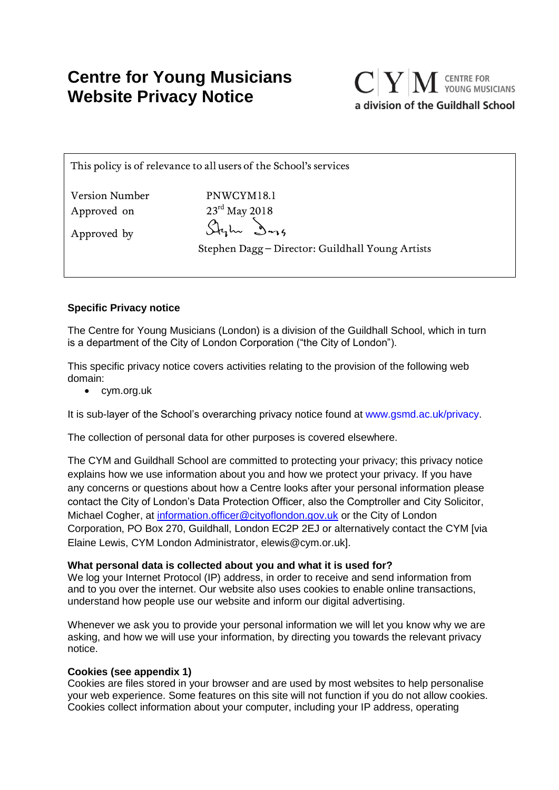# **Centre for Young Musicians Website Privacy Notice**



This policy is of relevance to all users of the School's services

| <b>Version Number</b> | PNWCYM18.1                                       |
|-----------------------|--------------------------------------------------|
| Approved on           | $23^{\text{rd}}$ May 2018                        |
| Approved by           | Stylu Dog                                        |
|                       | Stephen Dagg – Director: Guildhall Young Artists |
|                       |                                                  |

# **Specific Privacy notice**

The Centre for Young Musicians (London) is a division of the Guildhall School, which in turn is a department of the City of London Corporation ("the City of London").

This specific privacy notice covers activities relating to the provision of the following web domain:

• cym.org.uk

It is sub-layer of the School's overarching privacy notice found at www.gsmd.ac.uk/privacy.

The collection of personal data for other purposes is covered elsewhere.

The CYM and Guildhall School are committed to protecting your privacy; this privacy notice explains how we use information about you and how we protect your privacy. If you have any concerns or questions about how a Centre looks after your personal information please contact the City of London's Data Protection Officer, also the Comptroller and City Solicitor, Michael Cogher, at [information.officer@cityoflondon.gov.uk](mailto:information.officer@cityoflondon.gov.uk) or the City of London Corporation, PO Box 270, Guildhall, London EC2P 2EJ or alternatively contact the CYM [via Elaine Lewis, CYM London Administrator, elewis@cym.or.uk].

# **What personal data is collected about you and what it is used for?**

We log your Internet Protocol (IP) address, in order to receive and send information from and to you over the internet. Our website also uses cookies to enable online transactions, understand how people use our website and inform our digital advertising.

Whenever we ask you to provide your personal information we will let you know why we are asking, and how we will use your information, by directing you towards the relevant privacy notice.

# **Cookies (see appendix 1)**

Cookies are files stored in your browser and are used by most websites to help personalise your web experience. Some features on this site will not function if you do not allow cookies. Cookies collect information about your computer, including your IP address, operating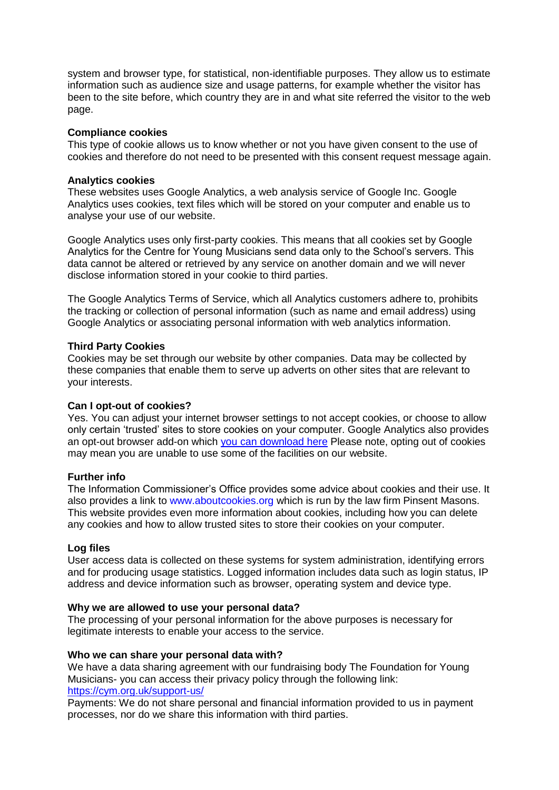system and browser type, for statistical, non-identifiable purposes. They allow us to estimate information such as audience size and usage patterns, for example whether the visitor has been to the site before, which country they are in and what site referred the visitor to the web page.

## **Compliance cookies**

This type of cookie allows us to know whether or not you have given consent to the use of cookies and therefore do not need to be presented with this consent request message again.

## **Analytics cookies**

These websites uses Google Analytics, a web analysis service of Google Inc. Google Analytics uses cookies, text files which will be stored on your computer and enable us to analyse your use of our website.

Google Analytics uses only first-party cookies. This means that all cookies set by Google Analytics for the Centre for Young Musicians send data only to the School's servers. This data cannot be altered or retrieved by any service on another domain and we will never disclose information stored in your cookie to third parties.

The Google Analytics Terms of Service, which all Analytics customers adhere to, prohibits the tracking or collection of personal information (such as name and email address) using Google Analytics or associating personal information with web analytics information.

## **Third Party Cookies**

Cookies may be set through our website by other companies. Data may be collected by these companies that enable them to serve up adverts on other sites that are relevant to your interests.

#### **Can I opt-out of cookies?**

Yes. You can adjust your internet browser settings to not accept cookies, or choose to allow only certain 'trusted' sites to store cookies on your computer. Google Analytics also provides an opt-out browser add-on which [you can download here](https://tools.google.com/dlpage/gaoptout?hl=None) Please note, opting out of cookies may mean you are unable to use some of the facilities on our website.

# **Further info**

The Information Commissioner's Office provides some advice about cookies and their use. It also provides a link to www.aboutcookies.org which is run by the law firm Pinsent Masons. This website provides even more information about cookies, including how you can delete any cookies and how to allow trusted sites to store their cookies on your computer.

#### **Log files**

User access data is collected on these systems for system administration, identifying errors and for producing usage statistics. Logged information includes data such as login status, IP address and device information such as browser, operating system and device type.

#### **Why we are allowed to use your personal data?**

The processing of your personal information for the above purposes is necessary for legitimate interests to enable your access to the service.

#### **Who we can share your personal data with?**

We have a data sharing agreement with our fundraising body The Foundation for Young Musicians- you can access their privacy policy through the following link: <https://cym.org.uk/support-us/>

Payments: We do not share personal and financial information provided to us in payment processes, nor do we share this information with third parties.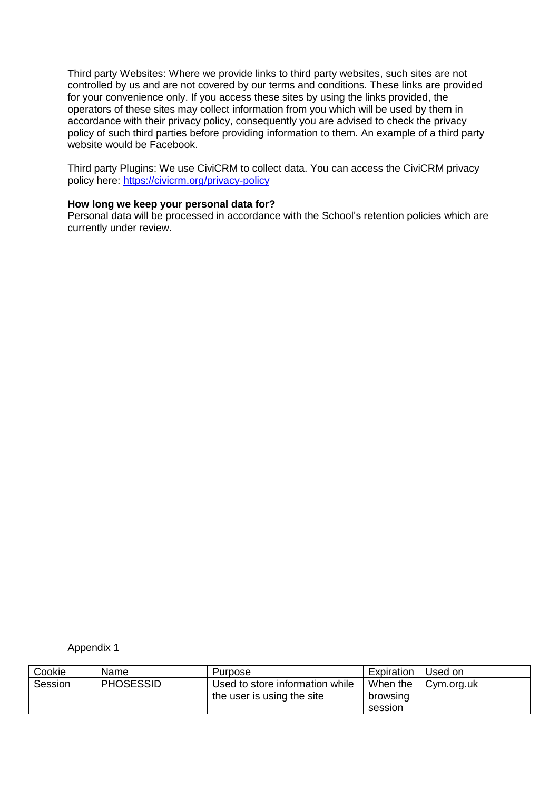Third party Websites: Where we provide links to third party websites, such sites are not controlled by us and are not covered by our terms and conditions. These links are provided for your convenience only. If you access these sites by using the links provided, the operators of these sites may collect information from you which will be used by them in accordance with their privacy policy, consequently you are advised to check the privacy policy of such third parties before providing information to them. An example of a third party website would be Facebook.

Third party Plugins: We use CiviCRM to collect data. You can access the CiviCRM privacy policy here:<https://civicrm.org/privacy-policy>

## **How long we keep your personal data for?**

Personal data will be processed in accordance with the School's retention policies which are currently under review.

Appendix 1

| Cookie  | Name             | Purpose                                                       | Expiration                      | Used on    |
|---------|------------------|---------------------------------------------------------------|---------------------------------|------------|
| Session | <b>PHOSESSID</b> | Used to store information while<br>the user is using the site | When the<br>browsing<br>session | Cym.org.uk |